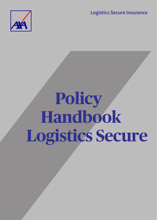**Logistics Secure Insurance**



# **Policy Handbook Logistics Secure**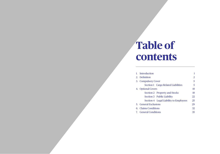# **Table of contents**

| Introduction          |                                        |                |
|-----------------------|----------------------------------------|----------------|
| 2. Definition         |                                        | $\mathfrak{D}$ |
| 3. Compulsory Cover   |                                        | 5              |
|                       | Section 1 Cargo Related Liabilities    | 5              |
| 4. Optional Covers    |                                        | 18             |
|                       | Section 2 Property and Stocks          | 18             |
|                       | Section 3 Public Liability             | 22             |
|                       | Section 4 Legal Liability to Employees | 25             |
| 5. General Exclusions |                                        | 29             |
| 6. Claims Conditions  |                                        | 32             |
| 7. General Conditions |                                        | 35             |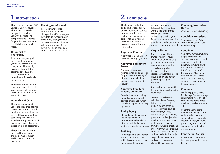# **1 Introduction**

Thank you for choosing AXA Logistics Secure Insurance. This policy is specially designed to provide you with a simple and comprehensive coverage for your business activities, legal liability and much more.

#### **On receipt of your Policy**

To ensure that your policy gives you the protection you need, we recommend that you read it carefully in conjunction with the attached schedule, and return the schedule immediately if any details are incorrect.

The schedule specifies the cover you have selected; it is your evidence of insurance and may be required in the event of a claim.

# **Operation of Cover**

The application made by you is the basis of and forms part of this contract. We will provide insurance within the terms of this policy for those sections specified in the schedule during the Period of Insurance or any subsequent period on mutual agreement.

The policy, the application form and the schedule should be read together and form the contract of insurance.

#### **Keeping us informed**

It is important you let us know immediately of changes that affect what you have told us; for example, if there is any change in your declared activities. Changes will only take place after we have agreed and issued an endorsement to the policy.

# **2 Definitions**

The following definitions and qualifications apply, unless the context requires otherwise. Individual sections of coverage may also contain definitions and these are to be read in conjunction with those listed below.

# **Approved Contract** A contract, which has been

agreed in writing by Insurer. **Approved Equipment Lease** 

A lease of Equipment, neither containing an option for purchase nor by way of hire-purchase, which has been agreed in writing by Insurer.

#### **Approved Standard Trading Conditions**

Standard terms of trading (including conditions of storage or carriage) which have been agreed in writing by Insurer.

# **Bodily Injury**

Physical injury to a person, including death and disability caused solely and directly by violent external visible and accidental means.

# **Building**

Building(s) built of concrete stone or brick and roofed with tiles concrete or other incombustible material

including permanent fixtures, fittings, sanitary ware, signs, shop fronts, extensions, annexes, outbuildings, walls, gates, fences and hoardings at the premises excluding any such property separately insured.

# **Cargo/ Stocks**

Goods capable of being transported by land, sea, water, or air and including packaging material or a Container that is neither owned nor supplied by Insured or their representatives/agents, but is supplied by the person presenting the goods for shipment.

Unless otherwise agreed by Insurers, Cargo excludes the following:

Trailers or any licensed vehicles, plants, flowers, living creatures, cash, bullion, bonds, treasury notes, securities, stamps, manuscripts, deeds, documents, lottery tickets, plans and the like, jewellery, precious stones, precious metals or articles made from them, works of art and other high value or precious goods, hazardous goods as defined in the Policy, project cargo, date expired items, and goods or cargo not claimed by customers.

#### **Company/Insurer/We/ Our/Us**

AXA Insurance (Gulf) BSC (c).

# **Condition Precedent**

A provision of the Policy with which Insured must strictly comply.

#### **Container**

A unit load device, including a rigid container and derivatives therefrom, tank containers and the like, generally complying with the definition in Article II.1 of the current CSC Convention. Also including flats and pallets, spares and accessories in every day usage, to perform the Insured Services.

#### **Contents**

Machinery, plant, tools, furnishings, fixtures, fittings, consumable store and all contents including office machinery and equipment, safes.

Other than landlord's fixtures and fittings, stock and materials in trade, any machinery separately insured, money, cheques, promissory notes, bills of exchange, securities for money, stamps.

# **Contractual Carrier**

A person who has entered into an agreement to carry Cargo.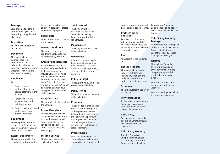#### **Damage**

Loss or damage due to a peril insured against and happening during the period of insurance.

#### **Discretion**

Absolute and unfettered discretion.

#### **Document**

This term includes any permanent or semipermanent record of information whether on paper or in a digital format, whether or not requiring electronic processing.

# **Employee**

#### Any

- i. Person under a contract of service or apprenticeship with the Insured.
- ii. Person under work experience or youth training schemes.
- iii. Person hired or borrowed by the Insured from another employer.

#### **Equipment**

The Equipment described as such in the Schedule and used by Insured in the course of the Insured Services.

#### **Excess/ Deductible**

The amount stated in the schedule to be borne by the Insured in respect of each and every occurrence of loss or damage to property.

#### **Expiry Date**

The date identified as such in the Schedule.

# **General Conditions**

Mandatory terms and conditions applying to the Policy issued by Insurers.

# **Gross Freight Receipts**

Each and every receipt received by You and relating to the provision of the Insured Services, for which You are insured by Us and as more particularly stated in the Policy. Such receipts should not include V.A.T. and/ or other taxes which have been paid for and on behalf of third parties.

# **Inception Date**

The date identified as such in the Schedule.

# **Insured/You/Your**

The Main Insured and any Joint Insured. Where there is more than one Insured, "You" applies to each of You as well as all of You. "Your" shall be construed accordingly.

# **Insured Service**

The business identified as such in the Schedule.

# **Joint Insured**

The Party or Parties described as such in the Schedule and having a financial interest with the Main Insured.

#### **Main Insured**

The Party described as such in the Schedule.

#### **Occurrence**

A fortuitous happening that takes place at an identified time and place. This shall mean loss or damage arising directly or indirectly from one event.

# **Policy Limit(s)**

The relevant Policy limit(s) as set out in the Schedule.

#### **Policy Period**

The period described as such in the Schedule.

#### **Premium**

The agreed sum or sums that You pay to Us in recognition of the agreement between both parties as evidenced by the Policy. When premium is to be paid in installments or other stages, this term includes each installment or stage separately.

# **Project Cargo**

Substantial movements of commodities to facilitate the construction of a commercial project, during a known and demonstrable period of time.

#### **Reckless act or omission**

An act or omission made with an awareness of the possible consequences, but an indifference as to whether they might result.

#### **Rent**

Annual rent of the buildings insured.

#### **Rented Property**

This term includes leased Property but does not include any arrangement under which there is an option or right to purchase.

# **Schedule**

The Schedule forming part of this Policy.

#### **Territorial Scope**

As described in the Schedule. References to any country shall include the territorial waters of that country.

#### **Third Party**

Any person, party or entity, but excluding "Main Insured/ any Joint Insured" or "Insurers".

#### **Third Party Property**

Tangible Property or Equipment belonging to a Third Party. Third Party Property does not include

Cargo or any Property or Equipment belonging to or leased to or chartered to the Insured.

#### **Third Party Property Damage**

Physical loss of, or damage to or destruction of Third Party Property, including loss of use of the Property so lost, damaged or destroyed.

#### **Writing**

This includes facsimile, telex, printing, and any other permanent method of representing words in a visible form, including e-mail.

Words in the masculine include the feminine and vice versa.

Words in the singular include the plural and vice versa.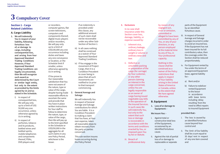# **3 Compulsory Cover**

# **Section 1 - Cargo Related Liabilities**

# **A. Cargo Liability**

- **1. We will indemnify You in respect of your liability, following fortuitous loss of, or damage to cargo, including consequential loss, and arising from Your Approved Standard Trading Conditions However, if Your Approved Standard Trading Conditions are legally circumvented, then We will recognize such award as determined by the Court or similar legal entity, but only to the extent as provided by the limits agreed by Us and as stated in the Schedule.** 
	- i) In respect of consequential loss, We will pay only up to a limit of US\$ 50,000 any one occurrence, unless otherwise agreed by Us in writing.
	- ii) In respect of perfumes, tobacco and its products, bottled wines and bottled spirits, mobile telephones and components thereof, PDAs, DVD players and/

computer games, flat screen televisions, computers and components thereof, digital music players and/or recorders, We will pay only up to a limit of US\$100,000 any one occurrence including duties and taxes any one conveyance or location, or the Schedule limit if smaller, unless otherwise agreed by Us in writing.

or recorders,

If You prove to Our reasonable satisfaction that You were not aware of the nature, type or value of the cargo, despite having made reasonable efforts to ascertain the same and provide that You have in place written instructions for Your staff to follow to determine the nature, type, or value of the cargo, then We will pay up to the limit specified in the Schedule or US\$250,000 in the aggregate for all such claims in any one Policy Period, whichever is the lesser.

- If an indemnity is provided under this clause, any additional amount of such claim shall not be recoverable under any other Sub-Section of Section 1.
- iii) In all cases nothing shall be construed as a waiver of Your Approved Standard Trading Conditions.
- iv) If You engage in the movement of Project Cargo, then it is a Condition Precedent to cover being in place that all such movements are notified to Us prior to that transport commencing.
- **2. General Average and Salvage**

We will indemnify You in respect of General Average and Salvage contributions for which You are liable. It is a Condition Precedent to making a claim that You have, at Your own expense, taken all reasonable steps to obtain recovery from the party or parties concerned.

This sub-section insures losses occurring during the Policy Period

#### **3. Exclusions**

In no case shall insurance under this Section cover loss, damage, liability, or expense caused by:

- i. Inherent vice, ordinary leakage, ordinary loss in weight or volume or ordinary wear and tear.
- ii. Defective or unsuitable packing or preparation of the cargo (for carriage) by Your customer, or any other person claiming an interest in the cargo concerned, unless You are legally responsible as an owner of cargo having issued negotiable way-bills in the operation of the Insured Services. In such cases We will indemnify You, but only to the extent that such loss or damage is recoverable in accordance with the terms and conditions enacted by You, or imposed upon You by Act or Statute.
- iii. Breach of professional duty

by reason of any negligent act, error or omission, committed or alleged to have been committed by any of You, or any of your directors, or any person employed at the material time by any of You, in Your professional capacity.

Nothing in this clause shall be construed as a waiver of the Policy restrictions that apply in respect of Your liability arising in the United States of America or Canada, unless to the extent that We have agreed

# **B. Equipment**

**1. Loss of or damage to Equipment: -** 

otherwise.

#### **We insure You: -**

- i. Against total or constructive total loss of the Equipment, occasioned by an identified fortuitous cause.
- ii. Against the risk of partial loss of or damage to replaceable or separate

parts of the Equipment by an identified fortuitous cause.

- iii. In respect of General Average and Salvage charges incurred in order to avoid an insured loss. If the Equipment has not been insured for its full contributory value, then the coverage under this Section shall be reduced proportionately.
- iv. For Equipment rented by You under the terms of an approved Equipment lease, against liability for:
	- a) Rent and/or
	- b) Failure to redeliver rented Equipment to the lessor in accordance with lease terms including delay resulting from the need to effect repairs to insured Equipment

#### **provided that:-**

- i. The loss is caused by an identified fortuitous cause beyond Your control and
- ii. The limit of Our liability shall be a sum equal to 35 days' rent in respect of any one item covered and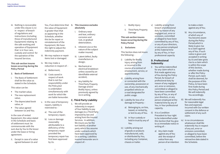iii. Nothing is recoverable under this clause (1.iv) in respect of breach of regulations and instructions (including those of manufactured Equipment) relating to the safe working and operation of Equipment that is in Your care, custody and control for the operation of the Insured Services.

**This sub-section insures losses occurring during the Policy Period**

- **2. Basis of Settlement**
- i. The Basis of Settlement shall be the value as stated in the Schedule.

This value can be:

- The market value;
- **The new replacement** value;
- **The depreciated book** value, or
- **The value agreed** between Us and You.

In the case of rented Equipment, the value stated in the Schedule and basis of settlement must be commensurate with the sum due by You to the lessor under the lease or hiring agreement.

ii. Except in case of a value agreed between Us and

the value of Equipment is greater than that as appearing in the Schedule, whether this be for repair or reinstatement of the Equipment, We have the right to adjust the indemnity payment.

- iii. We may replace or repair items lost or damaged.
- iv. We may make a reduction in respect of:
	- a) Betterment;
	- b) Costs saved in respect of work that is not Our responsibility under the Policy,but is undertaken simultaneously with work for which We are liable hereunder.
- v. In the case of temporary repairs, liability is restricted to:
	- a) The cost of the temporary repair;
	- b) Loss or damage reasonably attributable to a deficiency of the temporary repair provided the temporary repair has first been approved by Us.
- You, if we determine that **3. This insurance excludes absolutely** 
	- i. Ordinary wear and tear, ordinary corrosion and rust, or gradual deterioration;
	- ii. Inherent vice or the nature of the subject matter insured;
	- iii. Latent defect, faulty manufacture or design;
	- iv. Mechanical or electrical breakdown unless caused by an identifiable external accident;
	- v. Any liability for Third Party Property Damage and/or Bodily Injury, unless previously agreed by Us in writing.

# **C. Third Party Liability**

1. We will provide an indemnity in respect of Your liability to pay damages to a Third Party imposed by law and arising from the Insured Services. In addition, We insure you for the tort liability of another party which You assume under contracts which have been approved by Us in writing. Liabilities insured hereunder are in respect of: -

- i. Bodily Injury
- ii. Third Party Property Damage

**This sub-section insures losses occurring during the Policy Period**

**2. Exclusions**

This Section does not insure the following: -

- i) Liability for Bodily Injury arising from or incurred in the course of a contract of employment, service, or apprenticeship.
- ii) Liability arising from or connected with the ownership, possession or use, of any mechanically propelled vehicle on a road designated for public usage.
- iii) Liability for loss of or damage to Property: -
- a) Belonging to, on hire, leased, or rented by, or lent to any of You.
- b) In Your custody or held in trust by any of You.
- iv) Liability arising out of goods or products manufactured, sold, or distributed by You, including any Container, chassis or trailer.

v) Liability arising from breach of professional duty by reason of any negligent act, error or omission, committed or alleged to have been committed by any of You, or any of your directors, or any person employed at the material time by any of You, in Your professional capacity

#### **D. Professional Indemnity**

- i) You will be indemnified for any claim which is first made against any of You during the Policy Period, for breach of professional duty by reason of any negligent act, error or omission, committed or alleged to have been committed by any of You, or any of your directors, or any person employed at the material time by any of You, in Your professional
- ii) It is a Condition Precedent to Your right to be indemnified under this Section that You give to us immediate notice in writing of: -

capacity.

a) Any claim made against any of You and the receipt of notice from any person of an intention to make a claim against any of You.

- b) Any circumstance, of which any of You become aware during the Policy Period,which is likely to give rise to a claim against any of You. If such notice is given and accepted in writing by Us and later gives rise to a claim which is within the scope of this Section, whether made during or after the Policy Period, such claim shall be deemed, for the purpose of this Policy, to have been first made during this Policy Period and We will indemnify You accordingly.
- iii) We will indemnify You for reasonable legal fees and expenses incurred with Our written consent in the defence or settlement of any such claim.
- iv) In no circumstances whatsoever shall We indemnify You in respect of any act, error or omission committed, or alleged to have been committed, before the retroactive date stated in the Schedule.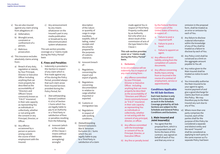- v) You are also insured against any claim arising from allegations of:
	- a) Defamation;
	- b) Wrongful arrest, constraint or confinement of a person;
	- c) Malicious prosecution.
- vi) This insurance excludes absolutely claims arising from:
	- a) Breach of any duty, regulation or statute, by Your Principal, Director or Executive Officer Including anything that can more properly be described as the accountability of "Directors and Officers"(more commonly known as "D & O" insurance) in their sole capacity as representing You as individuals or collectively, whether or not acting with the consent or any Principal, Director, or Officer.
	- b) Any offence occasioned by a person or persons arising outside the course of their employment with the Insured.

c) Any announcement by any means whatsoever on the Insured's part in any media publication or broadcast by any telecommunication system whatsoever.

This sub-section provides coverage on a "claims made during the Policy Period" basis

#### **E. Fines and Penalties**

- 1. Indemnity is provided in this Section in respect of any claim which is first made against any of You during the Policy Period, provided always that such claim arose from Insured Services provided during the Policy Period, for:
	- i) [Not withstanding General Condition 4.i.d.iv] of Section 1 Sums which You are legally liable to pay to an Authority or a Third Party in satisfaction of fines or penalties resulting from the following;
		- a) Innocent (which in the context of this Clause 1 means without deliberate wrongdoing) wrongful

description of the nature or quantity of cargo in cargo manifests, waybills, bills of lading, mates' receipts and documents prepared for the purposes of customs clearance.

- b) Innocent breach of: -
- i) Regulations concerning the import and export of goods.
- ii) Regulations concerning documentation in relation to cargo whether imported or exported.
- iii) Customs or immigration law.
- iv) Regulations in respect of safe working conditions.
- ii) [Notwithstanding General Exclusions War & Terrorism Exclusion (ii).] Sums which You are legally liable to pay to a Third Party in satisfaction of a claim

made against You in respect of Third Party Property confiscated by an Authority but only when as a direct result of the commission of acts of the type listed in this Clause 1

**This sub-section provides cover on a "claims made during the Policy Period" basis.**

**2. Exclusions**

In no circumstance will we indemnify You in respect of any claim arising from: -

- i) Any offence committed by your Principal, Director or Executive Officer. Including anything that can more properly be described as the accountability of "Directors and Officers" (more commonly known as "D & O" insurance) in their sole capacity as representing You as individuals or collectively, whether or not acting with the consent of any principal, director, or officer.
- ii) Any offence committed with the knowledge or consent of You as Principal, Director, or Executive Officer.
- iii) Any fine or penalty levied

by the Federal Maritime Commission of the United States of America, in respect of: -

- a. Failure to post a required tariff.
- b. Failure to post a bond.
- c. Failure to appoint an agent.
- iv) Any offence of strict liability arising from the completion of customs documents.
- v) Any offence concerning Bodily Injury arising from or incurred in the course of a contract of employment, service or apprenticeship.

#### **Conditions Applicable for All Sub-Sections**

**Each Sub-Section is only in force if it is described as such in the Schedule. Coverage granted by all Sub-Sections are subject to the Schedule and General Policy Conditions and Exclusions.**

#### **1. Main Insured and Joint Insured(s)**

i) You agree that the proposal form, which is incorporated into and forms the basis of this contract, was signed on behalf of each of You and that any error or

omission in the proposal form, shall be treated as an error or omission by each of You.

- ii) Any failure to disclose material information within the knowledge of any of You shall be treated as a failure to disclose by each of You.
- iii) Any Policy Limit shall be construed as a limit on the aggregate amount payable to You all.
- iv) Any notice given to the Main Insured shall be treated as notice to each of You.
- v) You irrevocably authorise the Main Insured to be your agent to agree, receive payment of and give a good discharge for claims due from us under this Policy. We may therefore pay to the Main Insured any sum due to any of You.
- vi) Where more than one party comprises the insured, each of the parties shall for the purpose of this Policy be considered a separate and distinct entity and the word "insured" shall be considered as applying to each party in the same manner as if a separate Policy had been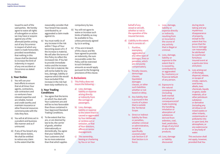issued to each of the said parties. We hereby agree to waive all rights of subrogation or action we may have or acquire against any of the aforesaid parties arising out of any Occurrence in respect of which any claim is made hereunder, provided nevertheless that nothing in this clause shall be deemed to increase the limit of indemnity in respect of any one accident or Occurrence as stated herein.

#### **2. Your Duties**

- i) You will use your best efforts to ensure that at all times Your agents, contractors, sub-contractors and co-venturers have relevant expertise and are reliable, honest and credit-worthy and maintain insurance or other financial resources commensurate with the risks they face.
- ii) You will at all times act in a prudent and business like manner and as if uninsured.
- iii) If any of You breach any of the above duties, We shall be entitled to reduce any claim to the extent that We

reasonably consider that Your breach has caused, contributed to, or aggravated a claim made against Us.

iv) You must notify Us of any increase in the risk within 7 Days of Your becoming aware of it. If the increase is material, We will alter the terms of this Policy to reflect the increased risk. If You fail to provide immediate notice and the increase in the risk is material, We will not be liable for any loss, damage, liability or expense which We would have excluded if the increase in the risk had been duly notified to Us.

#### **3. Your Trading Conditions**

- i) You agree that the terms on which You deal with Your customers are and will be no less favourable than those contained in Your Approved Standard Trading Conditions.
- ii) To the extent that You are, or are deemed by law to be, the carrier of goods, whether internationally or domestically, You agree that your liability to Your customers shall be no more extensive than that which applies

compulsory by law.

- iii) You will not agree to waive or increase such limits of liability as may be available to You, unless previously agreed by Us in writing.
- iv) If You are in breach of this clause and We have agreed to provide an indemnity, the sum recoverable under the Policy will be restricted to such limitation amounts as would apply pursuant to the foregoing provisions of this clause.

#### **4. Exclusions**

- i) This Policy does not insure the following:
	- a) Loss, damage, liability or expense arising directly or indirectly from the carriage of passengers.
	- b) Loss, damage, liability or expense to the extent that it is caused or aggravated by Your deliberate or reckless act or omission, or that of Your directors, officers or senior management.
	- c) The ownership, leasing or chartering by You or on Your

behalf of any vessel or aircraft, whether or not in the operation of the Insured Services.

- d) Liability to the extent that it consists of:
	- i. Punitive, exemplary, aggravated or any other type of damages, fines or penalties, which are not purely compensatory.
	- ii. Penalty clauses, demurrage clauses, liquidated damages clauses, or other such liabilities whether or not based on delay.
	- iii. Any liability that is pursued in the courts of a place that is outside the Territorial Scope.
	- iv. Direct or indirect liability for fines or penalties, whether criminal or administrative, except as specifically covered under sub-Section E (if that Section is in force).

v. Loss, damage, liability or expense directly or indirectly resulting from or incurred in the course of any activity that is illegal or criminal.

- vi. Loss, damage, liability or expense to the extent that it is caused by, contributed to or aggravated
	- by, insolvency or financial default of any person.
- vii. Exposure to the natural consequences (including both mental and physical consequences)of trade involving the handling, inhalation or absorption of substances derived from asbestos, coal, lead, pesticides, drugs of any kind
- viii. Loss, damage or liability discovered

or any similar products.

during stocktaking and any mysterious disappearance of property, except to the extent that You prove that the loss or damage can reasonably be attributed to a particular fortuitous insured event at a particular time and place.

ix. Loss arising out of discharge, dispersal, release, or escape of smoke, vapours, soot fumes, alkalis, toxic chemicals, liquids or gases, waste materials, oil or other petroleum substance or derivative (including any oil refuse or oil mixed wastes or other irritants, contaminants or pollutants) into or upon land, the atmosphere, or any watercourse or any body of water.

This exclusion shall not apply, however, provided that You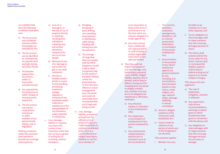can establish that all of the following conditions have been met: -

- a) The Occurrence was accidental and was neither foreseeable nor intended by You.
- b) The Occurrence can be identified as commencing at a specific time and date during the Policy Period.
- c) You became aware of the **Occurrence** within 72 hours of its commencement.
- d) You reported the Occurrence to Us within 30 days of having become aware of it.
- e) The Occurrence was not the result of Your intentional or wilful violation of any governmental statute, rule or regulation.

Nothing contained within this exclusion shall operate to provide any coverage with respect to:

- a) Loss of, or damage to or the loss of use of property directly or indirectly resulting from subsidence caused by any sub-surface operations carried out by You or on Your behalf;
- b) Removal of, loss of or damage to sub-surface oil, gas or any other substance;
- c) Any site or location used in whole or in part for the handling, processing, treatment, storage, disposal or dumping of any hazardous waste materials or substances or the transportation of any hazardous waste materials or substances.
- x. Loss, damage, liability or expense incurred in the course of any hazardous trade that has not been agreed in writing by Us including, without limitation:-
- a) Dredging, dumping of spoil, drilling, core sampling, oil production or distribution, cable-laying, blasting, pile driving and subsea operation.
- b) The carriage of Cargo that does not comply with the IMCO Dangerous Goods Code or other recognised code for the mode of transport utilised, unless You prove that You, or Your directors, officers or senior management were not aware and could not reasonably have ascertained that such Cargo was being carried.
- xi. Loss, damage, liability, or expense arising from the adherence to or breach of rules of a Trade Association or similarly constituted body, such as a Line Conference or Freight Association, whether or not You are a member of

such association or body at the time of such breach or at the time when any relevant allegation is made against You.

- xii. Any claim arising from a deliberate mis-representation in a bill of lading or similar negotiable instrument or any attempt thereat.
- ii) This Policy will not respond in respect of any loss, damage, cost, bodily Injury, personal injury, liability, alleged liability, expense, fine or penalty, and/or duty to defend, arising out of or resulting from any actual or alleged unlawful acts, whether such acts are or are alleged to be intentional or otherwise, relating to:
	- a) Any refusal to employ or retraction of any employment offer;
	- b) Any suspension or termination of employment of any person employed by You;
	- c) Any employmentrelated practices, policies,acts or omissions such as but not limited to:

i. The coercion, demotion, evaluation, reassignment, discipline, civil or criminal prosecution, defamation, or humiliation of any person employed by

You;

- ii. Discrimination or harassment of any nature whatsoever against any person employed by You, including, but not limited to, discrimination based on race, colour, creed, religion, sex, age, national origin, alienage, disability, or sexual
- d) Actual or alleged violations of the "Americans with Disabilities Act";

orientation;

- e) Claims made by relatives of any person at whom any of the foregoing is/ are directed.
- This exclusion applies:
- i. Whether You may

be liable as an employer or in any other capacity; and

- ii. To any obligation to share damages with or repay someone else who must pay damages because of injury.
- iii. This Policy shall exclude and be free of any claim for any direct, indirect and/ or consequential liability, expense and/or duty to defend arising out of exposure to mould, mildew or fungus.

This clause 4.iii) also applies to:

- a) The cost of abatement, mitigation, removal or disposal,
- b) Any supervision, instructions, recommendations, warnings or advice given or which should have been given in connection with the above; and
- c) Any obligation to share damages with or repay someone else who must pay damages because of such injury or damage.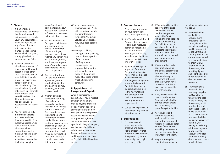# **5. Claims**

- i) It is a Condition Precedent to Our liability that immediate and written notice is given to Us, of any circumstances of which any of You or any of Your directors, officers or senior management become aware, which has given, or may give rise to a claim under this Policy.
- ii) If You fail to comply with the requirement of Clause 5.i) and thereafter accept in writing that such failure releases Us from liability, then We may at Our Discretion, agree to provide a partial indemnity. The partial indemnity shall not exceed Our estimate of the amount that would have been due if immediate notice had been given in accordance with Clause 5.i).
- iii) You will keep Us fully informed of all facts and make available documents within Your custody, possession, or power, in connection with any claim or circumstance which may give rise to a claim against Us. You will allow Us to take copies (including in digital

format) of all such documents and allow access to Your computer software and hardware to the extent necessary.

#### iv) You will allow Us and Our agents to interview any person who is, or was Your director, officer, employee, manager or agent. As regards any person who was a director, officer, employee, manager or agent, You will use your best efforts to secure their co-operation.

- v) You will not, without Our previous written agreement, settle or admit liability for any claim which may be wholly, or in part, covered herein.
- vi) We may direct or control the handling of any claim or proceedings relating to any liability insured under this Policy. If You refuse to consent to any settlement recommended by Us but decide to contest or continue to contest legal proceedings, then Our liability shall not exceed the amount for which We could have settled the claim, plus legal costs incurred to the date of Your refusal.
- vii) In no circumstances whatsoever shall We be obliged to issue bonds or guarantees, save for General Average or Salvage Guarantees as may have been agreed by Us.
- viii) In respect of loss, damage, or delay arising prior to the completion of the contract of affreightment, on-carriage to the appointed destination will be by the same mode as the original mode of carriage unless We shall determine otherwise.

# **6. Appointment of Lawyers and Experts**

When a claim is made against any of You in respect of which an indemnity may be payable under this Policy, We may appoint a lawyer or other expert on Your behalf. We will pay the fees of a lawyer or expert so appointed. If, before Our intervention, You have appointed a lawyer or expert, We shall only be liable to reimburse the reasonable fees of the lawyer or expert and then only on such basis as We shall at Our Discretion decide.

#### **7. Sue and Labour**

- i) We may sue and labour on Your behalf. You agree to co-operate fully.
- ii) It is Your duty and that of Your agents in all cases to take such measures as may be reasonable for the purpose of averting or minimising loss, damage, liability or expense, that is insured under this Policy.
- iii) If you obtain Our prior approval of the steps You intend to take, We will reimburse expense incurred by You in fulfilling Your obligations under sub-clause 7.ii) Our liability under this clause shall be subject to the relevant limit and deductible and shall not be treated as a supplementary engagement.
- iv) Clause 5 shall prevail, in the event of any conflict with this clause.

# **8. Subrogation**

i) You must take all necessary steps to preserve and pursue rights of recovery that may inure to Our benefit. If requested by Us, You must assign such rights of recovery to Us.

ii) If You obtain Our written approval of the steps to be taken, We will reimburse expenses incurred by You in fulfilling Your obligations under sub-clause 8.i). Our liability under this sub-clause 8.ii) shall be subject to the relevant limit and deductible and shall not be treated as a supplementary engagement.

- iii) We are entitled to the benefit of any actual and potential recoveries from Third Parties who, whether through a civil wrong or breach of contract, may have caused or contributed to a claim recoverable under this Policy.
- iv) If any recovery is made prior to settlement of Your claim, We shall be entitled to take credit for the recovery in quantifying Our liability.
- v) All recoveries and potential recoveries shall be held in trust first for the payment of reasonable legal or other experts' fees incurred in making the recovery, then for Our benefit and finally for Your benefit.
- vi) In apportioning the benefit of any recovery,

the following principles will apply: -

- a) Interest shall be applied to all relevant sums (including Policy Limits, deductibles and all sums already paid by You or Us) at the Central Bank Lending Rate for the currency concerned, in order to attribute to them a value as at the date of the recovery.The resulting figures shall be the basis for the allocation and distribution of the recovery.
- b) Your claim shall be re-calculated as though payable by Us on the day following the date of the recovery and the recovery shall be allocated and distributed to reflect the re-calculation. In no circumstances however shall the making of a recovery result in Our having to make any additional payment to You, save to account to You for interest notionally due pursuant to such re-calculation.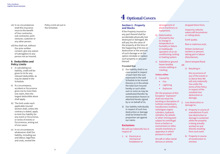- vii) In no circumstances shall this insurance inure to the benefit of Your contractor, sub-contractor, jointventurer, customer or any other person.
- viii)You shall not, without Our prior written consent, give any waiver of subrogation to any person not an Insured.

#### **9. Deductibles and Policy Limits**

- i) In calculating our liability, credit will be given to Us for any relevant deductible, as may be stated in the Schedule.
- ii) If a circumstance, accident or Occurrence gives rise to more than one claim, then the largest deductible alone shall apply.
- iii) The limit under each applicable insured Section shall, unless the contrary is stated, apply to limit Our liability for any event or Occurrence, or series of events or Occurrences, arising out of one cause.
- iv) In no circumstances whatsoever shall Our liability, including sue and labour, legal fees and costs, exceed the

Policy Limit set out in the Schedule.

# **4 Optional Covers**

#### **Section 2 - Property and Stocks**

If the Property insured or any part thereof shall be accidentally physically lost destroyed or damaged, We will pay You the value of the property at the time of the happening of its loss or destruction or the amount of such damage or at Our option reinstate or replace such property or any part thereof.

#### **Provided that**

- 1) Our liability shall in no case exceed in respect of each item the sum expressed in the said Schedule to be insured thereon or in the whole the total Sum Insured hereby or such other sum or sums as may be substituted therefor by memorandum hereon or attached hereto signed by or on behalf of Us.
- 2) Our liability individually in respect of such loss destruction or damage shall be limited to the proportion set against our name.

#### **Exclusions**

We will not indemnify You in respect of

1. a) Electrical or mechanical breakdown or

#### derangement of plant machinery or equipment;

- b) Deterioration of property due to change in temperature or humidity or failure or inadequate operation of an airconditioning cooling or heating system;
- c) Subsidence ground heave landslip erosion settling or cracking.

#### **Unless either**

- i) Caused by
	- $F$ ire
	- **Lightning**
	- **Explosion**

(for the purposes of this Exception "explosion" shall not mean the bursting or disruption of turbines compressors, transformers rectifiers, switchgear engine cylinders, hydraulic cylinders, fly-wheels or other moving parts subject to centrifugal force or boilers or economizers or other vessels machinery or apparatus in which

Aircraft or other aerial devices or articles

pressure is used)

#### dropped there from;

Impact by vehicles watercraft locomotives or rolling stock;

Earth quake;

Riot or malicious acts;

Strikers locked-out workers or persons taking part in labour disturbances;

Storm tempest flood.

- OR
	- ii) Resulting in

the occurrence of any of the events in (i) above then We will only indemnify You under the terms of the Policy in respect of the resultant loss destruction or damage.

- 2. Loss destruction or damage to:
	- a) Property in course of manufacture if such loss destruction or damage is sustained while the property is being actually worked on and directly resulting from such work
	- b) Property in course of construction or erection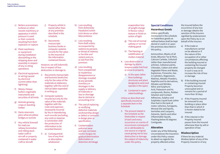- c) Boilers economizers turbines or other vessels machinery or apparatus in which pressure is used or their contents resulting from their explosion or rupture
- d) Plant machinery or equipment during installation dismantling or the stripping down and assembly in respect of any re-siting operations
- e) Electrical equipment or wiring caused by electrical current (other than lightning)
- f) Money cheque bullion negotiable instruments and securities of all kinds
- g) Animals growing crops or standing timber
- h) Dams reservoirs piers wharves jetties bridges or tunnels
- i) Any vehicle licensed for road use railway locomotive and rolling stock water craft or aircraft or property contained in water craft or aircraft

i) Property whilst in transit other than at any premises described in the schedule

k) Documents manuscripts business books or computer systems records for the value to the Insured of the information contained therein

However, we will indemnify You in respect of loss destruction or damage to

- i) Documents manuscripts and business books but only for the value of the materials as stationery together with the cost of clerical labor expended in writing up
- ii) Computer systems records but only for the value of the materials together with the costs and expenses necessarily incurred by You in reproducing such records (excluding any costs or expense in connection with the production of information to be recorded therein)
- 3. a) Consequential loss of any kind or description whatsoever
- b) Loss resulting from dishonesty fraudulent action trick device or other false pretence
- c) Loss resulting from theft unless accompanied by violence to persons or threat of violence or forcible and violent entry to or exit from the premises
- d) Loss resulting from unexplained or mysterious disappearance or shortage revealed at any periodic inventory or shortages in the supply or delivery of materials or loss or shortage due to clerical or accounting error
- e) The cost of replacing or rectifying defective materials workmanship design or defect or omission in design plan or specification
- f) Contamination pollution wear and tear corrosion vermin fungus rot gradual deterioration deformation or distortion shrinkage

evaporation loss of weight change in flavour colour texture or finish or action of light

- g) The cost of normal upkeep or normal making good
- h) The freezing or solidification of molten material
- 4. Loss destruction or damage by storm tempest water hail frost or snow to property
	- a) In the open (other than buildings structures and plant designed to exist and operate in the open)
	- b) Contained in opensided buildings

Unless so described and specifically insured as a separate item in the Schedule

5. The amount stated in the Schedule as the Deductible in respect of each and every occurrence or a series of occurrences consequent on or attributable to one source or original cause giving rise to loss destruction or damage the subject of indemnity under this policy.

# **Special Conditions**

# **Hazardous Goods**

Unless specifically mentioned in the schedule no hazardous goods as defined below shall be kept stored or used in or upon the premises described in this policy,

Ammunition, Blacks of all kinds, Bitumen Tar & Pitch, Calcium Carbide, Celluloid (other than manufactured articles), Cellulose paints, Chlorates, Cotton and other Vegetable Fibres and Waste, Explosives, Fireworks, Gas in Cylinders, Magnesium, Matches, Metallic Powders, Naphtha and its derivatives, Nitrates and Nitrides, Nitric and Sulphuric Acid, Potassium and its compounds, Resins, Rubber Solution and Contact Adhesives, Sulphur and Sulphides Liquid fuels (other than fuel in the tank of motor vehicles), fumigants, Mineral Oils and Spirits, Varnishes and Lacquers, Solvents, Spirits and other inflammable liquids, Flashing below 65 degrees Centigrade.

# **Alteration**

Under any of the following circumstances the insurance under this Policy ceases to attach as regards the property affected unless

the Insured before the occurrence of any loss or damage obtains the sanction of the Insurers signified by endorsement upon the Policy by or on behalf of the Insurers

- a) If the trade or manufacture carried on be altered or if the nature of the occupation of or other circumstances affecting the building insured or containing the Insured property be changed in such a way as to increase the risk of loss or damage
- b) If the building insured or containing insured Property becomes unoccupied and so remains for a period of more than 30 days
- c) If the Property Insured be removed to any building or place other than that in which it is herein stated to be insured
- d) If the interest in the Property Insured passes from the Insured otherwise than by will or operation of law

# **Misdescription**

If there be any material Misdescription of any of the Property Insured or of any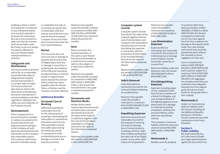building or place in which such property is contained or any misrepresentation as to any fact material to be known for estimating the risk or any omission to state such fact the Insurers shall not be liable under this Policy so far as it relates to property affected by any such Misdescription misrepresentation or omission.

#### **Safeguards and Maintenance**

The Insured shall at all times and as far as is reasonably practicable take steps to safeguard the Property Insured and maintain it in a proper state of repair. The Insured shall also take steps to enforce the observance of all statutory provisions manufacturer's recommendations and other regulations relating to the safety use and inspection of the Property Insured.

#### **Reinstatement**

If the Company elect or become bound to reinstate or replace any property the Insured shall at his own expense produce and give to the Company all such plans documents books and information as the Company may reasonably require. The Company shall not be bound to reinstate exactly

or completely but only as circumstances permit and in reasonably sufficient manner and shall not in any case be bound to expend in respect of any one of the items insured more than the Sum Insured thereon.

#### **Marine**

This Insurance does not cover any loss or damage to property which at the time of happening of such loss or damage is insured by or would but for the existence of this Policy be insured by any Marine Policy or Policies except in respect of any excess beyond the amount which would have been payable under the Marine Policy or Policies had this insurance not been effected.

# **Additional Benefits: Increased Cost of Working**

Additional expenditure reasonably incurred for the sole purpose of avoiding or diminishing the interruption or interference of business which but for that expenditure would have taken place during the indemnity period in consequence of the accidental physical loss or damage occurred in the business premises.

Maximum loss payable under this benefit is limited to a maximum of AED/SAR/ QAR 100,000 or BHD/OMR 10,000 within the maximum indemnity period of 6 months.

#### **Rent**

Rent incurred for the business premises, if the same or part thereof becomes untenantable as a result of an occurrence, which is the subject of a valid claim under this section.

Maximum loss payable under this benefit is limited to a maximum of AED/SAR/ QAR 50,000 or BHD/OMR 5,000, or the actual rent lost whichever is less upto a maximum period of 6 months.

#### **Documents and Business Books**

Written books deeds manuscripts business books architects plans and other documents but only for the value of the material as stationery together with the cost of clerical labour expended in writing up and not for the value of the information contained therein.

Maximum loss payable under this benefit is AED/SAR/QAR 2,500 or BHD/OMR 250.

#### **Computer system records**

Computer system records but only for the value of the material together with the cost of clerical labour and computer time expended in reproducing such records (excluding any expenses in connection with the production of information to be recorded therein) and not for the value of the information contained therein.

Maximum loss payable under this benefit is AED/SAR/QAR 2,500 or BHD/OMR 250.

# **Debris Removal**

Costs and expenses necessarily incurred for the removal of debris following an accidental loss.

Maximum loss payable under this benefit is restricted to a maximum limit of AED/SAR/QAR 25,000 or BHD/OMR 2,500.

#### **Expediting Expenses**

Expenses necessarily and reasonably incurred for the purpose of reducing the material damage loss of Insured property, including overtime, night time, holiday working and the extra cost of air freight, courier or any other rapid means of transportation.

Maximum loss payable under this benefit is restricted to a maximum of AED/SAR/QAR 50,000 or BHD/OMR 5,000.

#### **Loss Minimisation Expenses**

Expenses that are necessarily and reasonably incurred for the purpose of minimizing loss or damage to the Property insured hereunder caused by an Insured Peril.

Maximum liability under this extension shall not exceed AED/SAR/QAR 50,000 or BHD/OMR 5,000.

#### **Fire Extinguishing Expenses**

Expenses including wages of your employees other than full time members of a Works Fire Brigade, and cost of replenishment of fire fighting appliances and destruction of or damage to materials (including employees' clothing and personal effects) unless otherwise specifically insured.

The Company's maximum liability under this extension shall not exceed AED/SAR/ QAR 50,000 or BHD/OMR 5,000.

#### **Memoranda 1:**

Besides cover for property

on premises other than stock per location of AED/ SAR/QAR 2.5 Million or BHD/ OMR 250,000, this Section is designed to indemnify You for any claim against You from Your customers for damage to their goods whilst under Your care custody and control and caused by operational perils without the necessity to prove negligence on Your part.

Cover is limited to the extent of AED/SAR/QAR 500,000 or BHD/OMR 50,000 each customer subject to a maximum limit of AED/SAR/ QAR 5 Million or BHD/OMR 500,000 in the aggregate. You should ensure that your customers have adequate insurance for Force Majure perils (Fire & Act of God Perils) for the goods held in Your custody.

#### **Memoranda 2:**

Under no Circumstances shall our liability under this Section including all the Additional Benefits, during any one Policy Period, exceed the loss limit mentioned on the Policy Schedule.

#### **Section 3 - Public Liability**

We shall indemnify You (or in the event of death your legal representatives) against all sums which You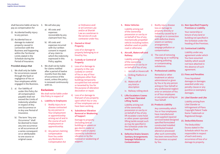shall become liable at law to 3. We will also pay pay as compensation for

- (i) Accidental bodily injury to any person.
- (ii) Accidental loss or damage to material property caused in connection with the Business and happening within the Territorial Limits stated in the Schedule during the Period of Insurance.

#### **Provided always that**

- 1. We shall only be liable for occurrences caused through the fault or negligence of You or Your employees whilst engaged in the Business.
- 2. a) Our liability of under this Policy for all compensation payable shall not exceed the Limits of Indemnity whether in respect of Any one Occurrence or in Any one Period of Insurance.
	- b) The term "Any one Occurrence" shall be deemed to mean any one occurrence or all occurrences of a series consequent on or attributable to one source or original cause.
- - a) All costs and expenses recoverable by any claimant from You.
	- b) All costs and expenses incurred with Our written consent in respect of any claim to which the indemnity expressed in this Policy applies.
- 4. We shall not be liable for claims notified after a period of twelve months from the date of occurrence of the event, unless the policy is renewed continuously with Us.

#### **Exclusions**

We shall not be liable under this Policy in respect of

- **1. Liability to Employees** 
	- i) Bodily injury to or disease contracted by any person in Your employment or apprenticeship arising out of and in the course of such employment or apprenticeship.
	- ii) Any person claiming compensation from You under any Workmen's Compensation Act

or Ordinance and/ or at Common Law and/or at Shariah Law as a workman in the service of a sub contractor under You.

**2. Owned or Hired Property** 

> Loss of or damage to property belonging to or hired by You.

- **3. Custody or Control of Property**
- i) Loss of or damage to property in the care custody or control of You or any of Your employees other than buildings temporarily occupied but not owned or tenanted by You for the purpose of alteration decoration or repair.
- ii) Loss of or damage to that part of any property upon which You or any of Your employees are or have been working.
- **4. Subsidence Vibration Removal or Weakening of Support**

Damage to property (including land or buildings or sewers or gas electric water or other mains or pipes) caused by subsidence vibration or by the removal or weakening of support .

#### **5. Motor Vehicles**

Liability arising out of the ownership possession or use by or on behalf of You of any mechanically propelled vehicle including trailers whether used on public road or otherwise.

**6. Aircraft, Watercraft and Railway** 

> Liability arising out of the ownership possession or use by or on behalf of You of any

ii. Drilling Platform or iii. Watercraft of

- iv. Railway rolling stock
- **7. Lifts Escalators Cranes and Power Operated Lifting Tackle**

any kind or description

Rig

Liability arising out of the ownership possession or use by or on behalf of You of any lift escalator crane hoist or other power operated lifting tackle except such as may be specified in the Schedule under the heading Plant.

**8. Defective Drains Sewers Sanitary Arrangements Seepage Pollution or Contamination**

- i) Bodily injury disease loss or damage to property directly or indirectly caused by or through or in connection with defective drains sewers or sanitary arrangements seepage pollution or contamination.
- ii) The cost of removing cleaning-up or nullifying seeping polluting or contaminating substances.
- i. Aircraft or Hovercraft **9. Professional Liability**

Remedial or other treatment or advice administered or given by You or by any person acting on Your behalf or any professional neglect error or omission of You or of Your employees Your behalf.

**10. Products Liability** 

Any commodity which You or Your employees have manufactured sold supplied repaired serviced tested designed specified formulated constructed installed distributed treated altered or processed after such commodity has been removed from the premises occupied by You .

#### **11. Non-Specified Property Premises or Liability**

Your ownership or tenure of any land or building not specified in the Schedule under the heading of the Premises.

**12. Contractual Liability** 

Liability under any agreement under which You have assumed liability which would not have attached in the absence of such agreement.

**13. Fines and Penalties** 

Fines liquidated damages or damages awarded under any penalty clause or any punitive or exemplary damages.

or any person acting on **14. Libel Slander and Like** 

Liability arising from Libel Slander or Infringement of Plans Copyright Patent Trade Name Trademark or Registered Design.

**15. Deductible/Excess** 

The Deductible/ Excess stated in the Schedule which You are responsible in respect of each and every occurrence of loss of or damage to property.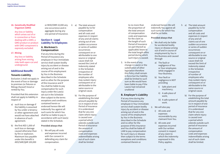#### **16. Genetically Modified Organism (GMO)**

Any loss or liability which arises out of or in connection or from dealing with a GMO, a GMO product or product with GMO component is expressly excluded.

**17. Mining** 

Any loss or liability arising from mining risks both open-cut and underground.

# **Additional Benefit:**

#### **Tenants Liability**

Exclusion 2 shall not apply in the event of loss or damage to premises (or fixtures or fittings thereof) hired or rented by You.

Provided that this extension shall not apply to liability in respect of

- a) such loss or damage if the liability is assumed by You under a tenancy or other agreement and would not have attached in absence of such agreement.
- b) the first AED 1,000 of such loss or damage caused otherwise than by fire or explosion. Maximum loss payable under this benefit is AED/SAR/QAR 100,000

or BHD/OMR 10,000 any one occurrence and in aggregate during any one period of Insurance.

# **Section 4 - Legal Liability To Employees**

# **A. Workmen's Compensation**

If at any time during the Period of Insurance any employee in Your immediate service shall sustain bodily injury by accident or disease arising out of and in the course of his employment by You in the Business described in the Schedule and no other for the purpose of this Insurance and if You shall be liable to pay compensation for such injury under the Law(s) set out in the Schedule then subject to the terms exceptions and conditions contained herein or endorsed hereon We will indemnify You against all such sums for which You shall be so liable to pay in accordance with such law(s) stated in the Schedule.

#### **Provided always that**

1. We will pay all costs and expenses incurred with Our consent in defending any claim for compensation.

2. a) The total amount payable by Us for compensation and all costs and expenses in respect of any and all claims arising out of one sudden occurrence or series of sudden occurrences consequent on or attributable to one source or original cause shall not exceed the Limit of Indemnity stated in the Schedule irrespective of the number of employees who may sustain injury consequent on or attributable to the same source or original cause.

> b) For the purpose of establishing the total amount payable by Us in respect of one Period of Insurance it is understood that for any one claim where injury is caused over a period which extends outside such Period of Insurance the amount of compensation costs and expenses indemnifiable arising out of such claim shall be limited

to no more than the proportion of the total amount of compensation costs and expenses for the claim as the length of such Period of Insurance (or part thereof as applicable) bears to the total length ofthe period during which such injury is caused.

3. In the event of any change in Law(s) or the substitution of other legislation therefore this Policy shall remain in force but Our liability shall be limited to such sum as We would have been liable to pay if the Law(s) had remained unaltered

#### **B. Employer's Liability**

If at any time during the Period of Insurance any employee in Your immediate service shall sustain bodily injury by accident or disease arising out of and in the course of his employment by You in the Business described in the Schedule and no other for the purpose of this Insurance and You shall be liable AT LAW to pay compensation for such injury or disease then subject to the terms exceptions and conditions contained therein or

endorsed hereon We will indemnify You against all such sums for which You shall be so liable.

#### **Provided always that**

- 1. We shall only be liable for accidental bodily injury or disease arising out of and in course of employment by You in the Business and caused through
	- a) The fault or negligence of You or Your employees while engaged in Your Business.
	- b) Your fault or negligence in NOT providing
		- i) Safe plant and machinery;
		- ii) A safe place of work;
	- iii) A safe system of work.
- 2. We will also pay
	- i) All costs and expenses recoverable by any claimant from You.
	- ii) All costs and expenses incurred with Our written consent in respect of any claim to which the indemnity expressed in this Policy applies.

#### 3. a) The total amount payable by Us for compensation and all costs and expenses in respect of any and all claims out of one sudden occurrence or series of sudden occurrences consequent on or attributable to one source or original cause shall not exceed the limit of Indemnity stated in the Schedule irrespective of number of employees who may sustain injury consequent on or attributable to the same source or original cause.

b) For the purpose of establishing the total amount payable by Us in respect of one period of insurance it is understood that for any one claim where injury is caused over a period which extends outside such period of insurance the amount of compensation costs and expenses indemnifiable arising out of such claim shall be limited.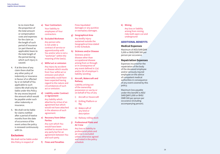to no more than the proportion of the total amount or compensation costs and expenses for the claim as the length of such period of insurance (or part thereof as applicable) bears to the total length of the period during which such injury is caused.

- 4. If at the time of any claim there shall be any other policy of indemnity or insurance in favour of or effected by or on behalf of You applicable to such claims We shall only be liable under this Policy for any excess beyond the amount which would be payable under such other indemnity or insurance.
- 5. We shall not be liable for claims notified after a period of twelve months from the date of occurrence of the event unless the policy is renewed continuously with Us.

# **Exclusions**

We shall not be liable under this Policy in respect of

- **a) Your Contractors**  Your liability to employees of Your contractors.
- **b) Excluded Workmen**

Any person who is not under a contract of service or apprenticeship with You and/or who is not a "workman" within the meaning of the law(s).

- **c) Wilful act or omission**  Any injury by accident
	- or disease which results from Your wilful act or omission and which reasonably could have been expected having regard to the nature and circumstances of such act or omission.
- **d) Liability under Contract or Agreement**

Any liability which attaches by virtue of an agreement but which would not have attached in the absence of such agreement.

**e) Recovery from Other Parties** 

> Any sum which You would have been entitled to recover from any party but for an agreement between You and such party.

**f) Fines and Penalties** 

- Fines liquidated damages or any punitive or exemplary damages.
- **g) Geographical Area**
	- Any bodily injury sustained outside the Geographical Area stated in the Schedule.
- **h) Sickness and/or Disease** Sickness and/or disease other than occupational disease arising from or through or in consequence of any event defined in 1(a) and/or (b) of employer's liability wording.
- **i) Aircraft, Watercraft and Railway**

Liability arising out of the ownership possession or use by or on behalf of You of any

- i) Aircraft or Hovercraft
- ii) Drilling Platform or Rig
- iii) Watercraft of any kind or description
- iv) Railway rolling stock
- **j) Professional Pilots and Air Crew**

Any loss or liability to professional pilots and air crew is excluded unless otherwise agreed and noted in the policy schedule

#### **k) Mining**

Any loss or liability arising from mining risks both open-cut and underground

# **ADDITIONAL BENEFITS**

# **Medical Expenses**

Maximum of AED/SAR/QAR 5,000 or BHD/OMR 500 per person per occurance

# **Repatriation Expenses**

Expenses incurred for the repatriation of the body of the deceased employee and/or seriously injured employee on the advice of competent medical authorities in consequence of any event covered by this policy.

Maximum loss payable under this benefit is AED/ SAR/QAR 5,000 or BHD/ OMR 500 per person per occurance (including accompanying person).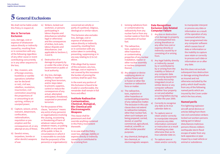# **5 General Exclusions**

We shall not be liable under this Policy in respect of,

#### **War & Terrorism Exclusion**

Loss, damage, cost or expense of whatsoever nature directly or indirectly caused by, resulting from or in connection with any of the following regardless of any other cause or event contributing concurrently or in any other sequence to the loss;

- i) War, invasion, acts of foreign enemies, hostilities or warlike operations (whether war be declared or not), civil war, rebellion, revolution, insurrection, civil commotion assuming the proportions of or amounting to an uprising, military or usurped power;
- ii) Capture, seizure, arrest, restraint, detainment, confiscation, nationalisation, requisition or preemption and the consequences of, or any attempt at any of these;
- iii) Derelict mines, torpedoes, bombs or other derelict weapons of war.

iv) Strikers, locked-out workmen, or persons participating in labour disputes and disturbances (whether legal or otherwise) and the consequences of strikes, lock-outs, labour disputes and disturbances. (not applicable to Sections 2, 3 and 4).

- v) Destruction of or damage to property by or under the order of any Government or public or local authority.
- vi) Any loss, damage, liability or expense arising from terrorism, and/or steps taken to prevent, suppress, control or reduce the consequences of any actual, attempted, anticipated, threatened, suspected or perceived terrorism.

For the purpose of this clause, "terrorism" means any act(s) of any person(s) or organisation(s) involving the causing, occasioning or threatening of harm of whatever nature and by whatever means, or putting the public or any section of the public in fear, in circumstances in which it is reasonable to conclude that the purpose(s) of the person(s) or organisation(s) concerned are wholly or partly of a political, religious, ideological or similar nature.

This Exclusion also excludes loss, damage, cost or expense of whatsoever nature directly or indirectly caused by, resulting from or in connection with any action taken in controlling, preventing, suppressing or in any way relating to (i) to (vi) above.

If We allege that by reason of this exclusion, any loss, damage, cost or expense is not covered by this insurance the burden of proving the contrary shall be upon You.

In the event any portion of this Exclusion is found to be invalid or unenforceable, the remainder shall remain in full force and effect

#### **Institute Radioactive Contamination, Chemical, Biological, Bio-Chemical and Electromagnetic Weapons**

This clause shall be paramount and shall override anything contained in this Policy inconsistent therewith.

In no case shall this Policy cover loss, damage, liability or expense directly or indirectly caused by or contributed to by or arising from

- i) Ionising radiations from or contamination by radioactivity from any nuclear fuel or from any nuclear waste or from the combustion of nuclear fuel.
- ii) The radioactive, toxic, explosive or other hazardous or contaminating properties of any nuclear installation, reactor or other nuclear assembly or nuclear component thereof.
- iii) Any weapon or device employing atomic or nuclear fission and/ or fusion or other like reaction or radioactive force or matter.
- iv) The radioactive, toxic, explosive or other hazardous or contaminating properties of any radioactive matter. The exclusion in this subclause does not extend to radioactive isotopes, other than nuclear fuel, when such isotopes are being prepared, carried, stored, or used for commercial, agricultural, medical, scientific or other similar peaceful purposes.
- v) Any chemical, biological, bio-chemical, or electromagnetic weapon.

#### **Date Recognition Exclusion Date Related Computer Failure**

- i) Any loss or destruction of or damage to property or consequential loss arising therefrom or any other loss cost or expense directly or indirectly caused by or consisting of or arising from.
- ii) Any legal liability directly or indirectly caused by or contributed to by or arising from the inability or failure of any computer data processing equipment or media microchip integrated circuit or similar device or any computer software whether Your property or not and whether occurring before during or after the year 2000.
- a) Correctly to recognise any date as its true calendar date or;
- b) To capture save or retain and/or correctly to manipulate interpret or process any data information command or instruction as a result of treating any date otherwise than as its true calendar date or;
- c) To capture save or retain and/or correctly

to manipulate interpret or process any data or information as a result of the operation of any command which has been programmed into any computer software which causes loss of data or information or the inability to capture save retain or correctly to process such data or information on or after any date.

But this does not exclude subsequent loss destruction or damage arising therefrom as insured and not otherwise excluded by the policy which itself results from any of the following named perils which are insured by the Cover under which the loss arises;

#### **Named perils**

Fire lightning explosion aircraft aerial devices or articles falling from them riot civil commotion strikers locked out workers persons taking part in labour disturbances malicious persons thieves robbers earthquake storm flood escape of water from any tank apparatus or pipe impact by a road vehicle or animal or subsidence.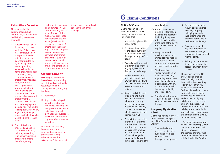# **Cyber Attack Exclusion**

This clause shall be paramount and shall override anything contained in this Policy inconsistent therewith

- i) Subject only to clause (ii) below, in no case shall this Policy cover loss, damage, liability or expense directly or indirectly caused by or contributed to by or arising from the use or operation, as a means for inflicting harm, of any computer, computer system, computer software programme, malicious code, computer virus or process or any other electronic system or negligent transfer (electronic or otherwise) of a computer programme that contains any malicious and or damaging code, including but not limited to computer virus, worm, logic bomb, or Trojan horse and which can be identified as the cause of loss.
- ii) Where this clause is endorsed on policies covering risks of war, civil war, revolution, rebellion, insurrection, or civil strife arising therefrom, or any

hostile act by or against a belligerent power, or terrorism or any person acting from a political motive, Clause (i) shall not operate to exclude losses (which would otherwise be covered) arising from the use of any computer, computer system or computer software programme or any other electronic system in the launch and/or guidance system and/or firing mechanism of any weapon or missile.

#### **Asbestos Exclusion**

Excluding all claims and losses based upon, arising out of, directly or indirectly resulting from or in consequence of, or any way involving:

- i) Asbestos, or
- ii) Any actual or alleged asbestos related injury or damage involving the use, presence, existence, detection, removal, elimination or avoidance of asbestos or exposure or potential exposure to asbestos.
- This exclusion shall not, however, encompass injury or damage involving products containing Asbestos where the existence of Asbestos is not

#### in itself a direct or indirect cause of the injury or damage.

**6 Claims Conditions**

#### **Notice Of Claim**

On the happening of an event for which a claim is or may be made under this Policy You shall

- i) Immediately give written notice to Us.
- ii) Give immediate notice to the police authority in respect of malicious damage robbery theft or fraud.
- iii) Take all practical steps to avoid minimise or check any injury disease loss destruction or damage.
- iv) Retain unaltered and unrepaired anything in any way connected with such event for such time as We may reasonably require.
- v) Keep Us fully informed of all facts and make available documents within Your custody, possession or power in connection with any claim or circumstance which may give rise to a claim against Us.
- vi) Within thirty days of the event unless a further time has been allowed in writing by Us at Your own expense produce for Us full particulars of the claim together with details of any other insurance(s) covering the

#### same liability.

- vii) At Your own expense furnish all information evidence and assistance (including if requested a statutory declaration of the truth of the claim) as We may reasonably
- require. viii) Notify or forward unacknowledged to Us immediately on receipt every letter claim writ summons and/or process in connection therewith.
- ix) Give immediate written notice to Us on being advised of any impending prosecution inquest or fatal enquiry in connection with any occurrence for which there may be liability under this Policy.
- x) Comply with all statutory requirements concerning work related accidents or disease.

#### **Company Rights after a Loss**

On the happening of any loss destruction or damage to any of the Property Insured We may

i) Enter and take and keep possession of the building or premises where the loss or damage has happened.

- ii) Take possession of or require to be delivered to Us any property belonging to You in the building or on the premises at the time of the loss or the damage.
- iii) Keep possession of any such property and examine sort arrange remove or otherwise deal with the same.
- iv) Sell any such property or dispose of the same for account of whom it may concern.

The powers conferred by this Condition shall be exercisable by Us at any time until notice in writing is given by You that You make no claim under this Policy or if any claim is made until such claim is finally determined or withdrawn and We shall not by any act done in the exercise or purported exercise of Our powers hereunder incur any liability to You or diminish Your right to rely upon any of the conditions of this Policy in answer to any claim.

If You or any person on Your behalf shall not comply with Our requirements or shall hinder or obstruct Us in the exercise of Our powers hereunder all benefit under this Policy shall be forfeited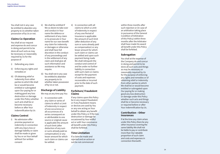You shall not in any case be entitled to abandon any property to Us whether taken possession of by Us or not.

#### **Claims Co-Operation**

You shall at our request and expense do and concur in doing and permit to be done all such acts as may be necessary or reasonably required by Us for the purpose of

- i) Defending any claim
- ii) Enforcing any rights and remedies or
- iii) Of obtaining relief or indemnity from other parties to which We shall be or would become entitled or subrogated upon Our paying for or making good any loss destruction or damage under this Policy whether such acts shall be or become necessary before or after Your indemnification by Us

#### **Claims Control**

i) No admission offer promise payment or indemnity in connection with any injury loss or damage liability or claim shall be made or given by You or on Your behalf without Our written consent

- ii) We shall be entitled if We so desire to take over and conduct in Your name the defence or settlement of any claim or to prosecute in Your name for our own benefit any claim for indemnity or damages or otherwise and shall have full discretion in the conduct of any proceedings and in the settlement of any claim and shall give all such information and assistance as We may require.
- iii) You shall not in any case be entitled to abandon any property to Us whether taken possession of by Us or not.

# **Discharge of Liability**

We may at any time pay You

i) In connection with any claim or series of claims to which a Limit of Indemnity in respect of one occurrence or all occurrences of a series consequent on or attributable to one source or original cause is applicable the amount of such limit (after deduction of any sum or sums already paid as compensation) or any lesser amount for which such claim or claims can be settled.

ii) In connection with all claims to which a Limit of Indemnity in respect of any one Period of Insurance is applicable the amount of such limit (after deduction of any sum or sums already paid as compensation) or any lesser amount for which such claim or claims can be settled and upon such payment being made We shall relinquish the conduct and control of and be under no further liability in connection with such claim or claims except for the payment of costs and expenses recoverable or incurred prior to the date of such payment.

#### **Forfeiture/ Fraudulent Claims**

If any claims upon this Policy be in any respect fraudulent or if any fraudulent means or devices are used by You or any one acting on Your behalf to obtain any benefit under this Policy or if the loss destruction or damage be occasioned by Your willful act or with Your connivance all benefit under this Policy shall be forfeited.

# **Time Limitation**

If a claim be made and rejected and an action or suit be not commenced

within three months after such rejection or (in case of an arbitration taking place in pursuance of the General Condition of Arbitration of this Policy) within three months after the Arbitrator shall have made his award all benefit under this Policy shall be forfeited.

#### **Subrogation**

You shall at the expense of the Company do and concur in doing and permit to be done all such acts and things as may be necessary or reasonably required by Us for the purpose of enforcing any rights and remedies or of obtaining relief or indemnity from other parties to which We shall be or would become entitled or subrogated upon Our paying for or making good any loss destruction or damage under this Policy whether such acts and things shall be or become necessary or required before or after Your indemnification by Us.

#### **Contribution – Other Insurances**

If at the time any claim arises under this Policy there be any other insurance covering the same liability We shall not be liable to pay or contribute more than Our rateable proportion of such claim and costs and expenses in connection therewith.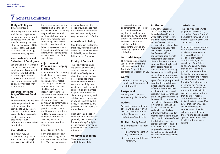# **7 General Conditions**

#### **Unity of Policy and Interpretation**

This Policy and the Schedule shall be read together as one contract and any word or expression to which a specific meaning has been attached in any part of this Policy or of the Schedule shall bear such meaning wherever it may appear.

#### **Reasonable Care and Selection of Employees**

You shall take all reasonable care in the selection and employment of competent employees and shall take reasonable precautions to prevent accidents and disease and to comply with all statutory obligations/ requirements.

#### **Material Facts and Duty of Utmost Good Faith**

The statements and answers in the Proposal and any material information provided to Us by You are true and complete. In the event of misrepresentation misdescription or nondisclosure of such information this Policy shall be voidable.

# **Cancellation**

This Policy may be terminated at any time at Your request in writing in which case We will retain

the customary short period rate for the time the Policy has been in force. This Policy may also be terminated at any time at Our option, on thirty days notice to that effect being given to You, in which case We shall be liable to repay on demand a rateable proportion of the Premium for the unexpired term from the date of the cancellation.

# **Adjustment of Premium and Keeping of Records**

If the premium for this Policy is calculated on estimates furnished by You You shall keep an accurate record containing all particulars relative thereto and shall at all times allow Us to inspect such record You shall within one month from the expiry of each period of insurance furnish such particulars and information as We may require The premium for each period shall thereupon be adjusted and the difference paid by or allowed to You as the case may be subject to any minimum premium required.

# **Alterations of Risk**

If any change shall occur materially varying any of the circumstances disclosed to Us You shall as soon as

reasonably practicable give notice of such change with full particulars thereof and We shall have the right to vary the terms of this Policy.

#### **Alterations to Policy**

No alteration in the terms of this Policy will be held valid unless the same is signed or initialled by an authorised Official of the Company.

# **Privity of Contract**

This Policy of insurance is a private and exclusive contract between You and Us All benefits rights and obligations under the terms hereof belong to or are owned by You and Us We are under no obligation whatsoever to defend settle compromise or otherwise respond to any action or claim brought directly and solely against Us in respect of any risk covered by this Policy of Insurance by any person who is not a party to the said contract.

Nothing in this clause or condition or in the contract generally shall prevent Us from exercising Our rights of subrogation against any person who is not a party to this contract.

# **Observance of Terms**

The due observance and fulfillment of the terms conditions and endorsements of this Policy so far as they relate to anything to be done or not to be done by You and the truth of the statements and answers in the Proposal shall be conditions precedent to Our liability to make any payment under this Policy.

# **Territorial Scope**

This insurance only covers Your Insured Services and risks situated within the Territorial Scope of this contract and as agreed by Us.

# **Waiver**

No forbearance or delay by Us shall result in a waiver of any of Our rights.

# **Assignment**

You may not assign this Policy or any of its benefits.

# **Notices**

Any notice to You, or to any of You, will be valid if given in writing to the insurance broker (if any) who placed this Policy on Your behalf.

# **No Third Party Benefit**

This contract is not intended either: -

- i) To confer any benefit on any Third Party or
- ii) To be enforceable by any Third Party.

#### **Arbitration**

If any difference arises out of this Policy We shall immediately notify You in writing of Your right to refer the difference to arbitration Such difference shall be referred to the decision of an Arbitrator to be appointed in writing by the parties in difference or if they cannot agree upon a single Arbitrator to the decision of two Arbitrators one to be appointed in writing by each of the parties within one calendar month after having been required in writing so to do by either of the parties or in case the Arbitrators do not agree of an Umpire appointed in writing by the Arbitrators before entering upon the reference The Umpire shall sit with the Arbitrators and preside at their meetings and the making of an Award shall be a condition precedent to any right of action against Us If We shall disclaim liability for any claim hereunder and such claim shall not within twenty four calendar months from the date of such disclaimer have been referred to arbitration under the provisions herein contained then the claim shall for all purposes be deemed to have been abandoned and shall not thereafter be recoverable hereunder.

#### **Jurisdiction**

This Policy applies only to judgements delivered by or obtained from a Court of Competent Jurisdiction in a member country of the Gulf Cooperation Council

If for any reason any portion of this Policy shall be held invalid or unenforceable, it is agreed that this will not affect the validity or enforceability of the remainder of the Policy. Further, You and We agree that if any of the Policy provisions are determined to be invalid or unenforceable, such provision or provisions shall be deemed removed from the Policy for purposes of enforcing it. Any such deletion will only apply in the jurisdiction in which it is made; provided, further, that if any provision is considered unenforceable to its full extent, You and We agree that such provision shall nonetheless be enforceable to the fullest extent permissible under the laws and public policies applied in the jurisdiction in which enforcement is sought.